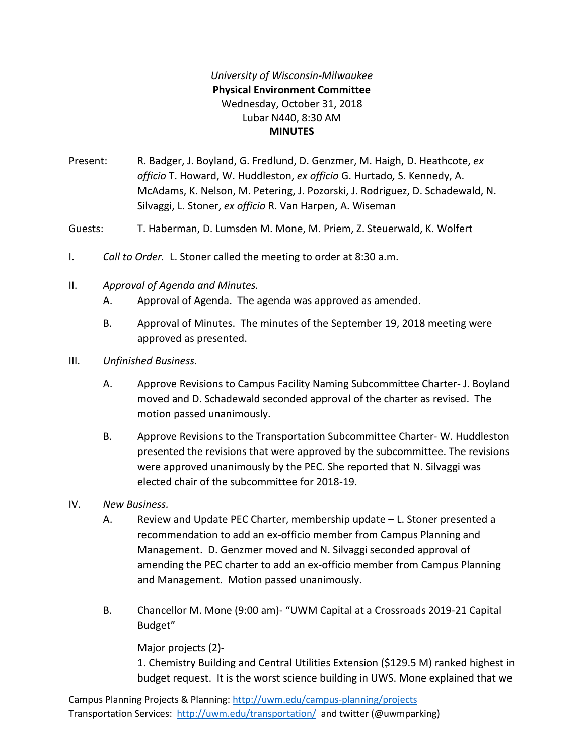## *University of Wisconsin-Milwaukee* **Physical Environment Committee** Wednesday, October 31, 2018 Lubar N440, 8:30 AM **MINUTES**

Present: R. Badger, J. Boyland, G. Fredlund, D. Genzmer, M. Haigh, D. Heathcote, *ex officio* T. Howard, W. Huddleston, *ex officio* G. Hurtado*,* S. Kennedy, A. McAdams, K. Nelson, M. Petering, J. Pozorski, J. Rodriguez, D. Schadewald, N. Silvaggi, L. Stoner, *ex officio* R. Van Harpen, A. Wiseman

Guests: T. Haberman, D. Lumsden M. Mone, M. Priem, Z. Steuerwald, K. Wolfert

- I. *Call to Order.* L. Stoner called the meeting to order at 8:30 a.m.
- II. *Approval of Agenda and Minutes.*
	- A. Approval of Agenda. The agenda was approved as amended.
	- B. Approval of Minutes. The minutes of the September 19, 2018 meeting were approved as presented.
- III. *Unfinished Business.*
	- A. Approve Revisions to Campus Facility Naming Subcommittee Charter- J. Boyland moved and D. Schadewald seconded approval of the charter as revised. The motion passed unanimously.
	- B. Approve Revisions to the Transportation Subcommittee Charter- W. Huddleston presented the revisions that were approved by the subcommittee. The revisions were approved unanimously by the PEC. She reported that N. Silvaggi was elected chair of the subcommittee for 2018-19.
- IV. *New Business.*
	- A. Review and Update PEC Charter, membership update L. Stoner presented a recommendation to add an ex-officio member from Campus Planning and Management. D. Genzmer moved and N. Silvaggi seconded approval of amending the PEC charter to add an ex-officio member from Campus Planning and Management. Motion passed unanimously.
	- B. Chancellor M. Mone (9:00 am)- "UWM Capital at a Crossroads 2019-21 Capital Budget"

Major projects (2)-

1. Chemistry Building and Central Utilities Extension (\$129.5 M) ranked highest in budget request. It is the worst science building in UWS. Mone explained that we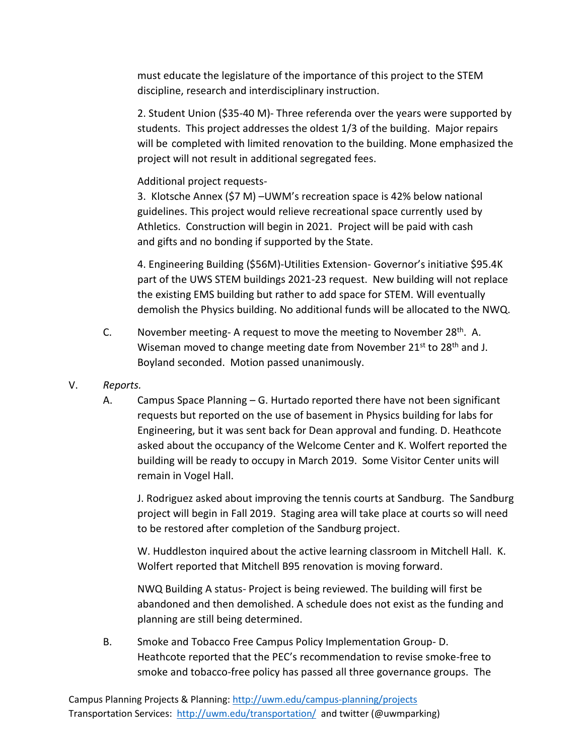must educate the legislature of the importance of this project to the STEM discipline, research and interdisciplinary instruction.

2. Student Union (\$35-40 M)- Three referenda over the years were supported by students. This project addresses the oldest 1/3 of the building. Major repairs will be completed with limited renovation to the building. Mone emphasized the project will not result in additional segregated fees.

## Additional project requests-

3. Klotsche Annex (\$7 M) –UWM's recreation space is 42% below national guidelines. This project would relieve recreational space currently used by Athletics. Construction will begin in 2021. Project will be paid with cash and gifts and no bonding if supported by the State.

4. Engineering Building (\$56M)-Utilities Extension- Governor's initiative \$95.4K part of the UWS STEM buildings 2021-23 request. New building will not replace the existing EMS building but rather to add space for STEM. Will eventually demolish the Physics building. No additional funds will be allocated to the NWQ.

- C. November meeting- A request to move the meeting to November  $28<sup>th</sup>$ . A. Wiseman moved to change meeting date from November 21<sup>st</sup> to 28<sup>th</sup> and J. Boyland seconded. Motion passed unanimously.
- V. *Reports.*
	- A. Campus Space Planning G. Hurtado reported there have not been significant requests but reported on the use of basement in Physics building for labs for Engineering, but it was sent back for Dean approval and funding. D. Heathcote asked about the occupancy of the Welcome Center and K. Wolfert reported the building will be ready to occupy in March 2019. Some Visitor Center units will remain in Vogel Hall.

J. Rodriguez asked about improving the tennis courts at Sandburg. The Sandburg project will begin in Fall 2019. Staging area will take place at courts so will need to be restored after completion of the Sandburg project.

W. Huddleston inquired about the active learning classroom in Mitchell Hall. K. Wolfert reported that Mitchell B95 renovation is moving forward.

NWQ Building A status- Project is being reviewed. The building will first be abandoned and then demolished. A schedule does not exist as the funding and planning are still being determined.

B. Smoke and Tobacco Free Campus Policy Implementation Group- D. Heathcote reported that the PEC's recommendation to revise smoke-free to smoke and tobacco-free policy has passed all three governance groups. The